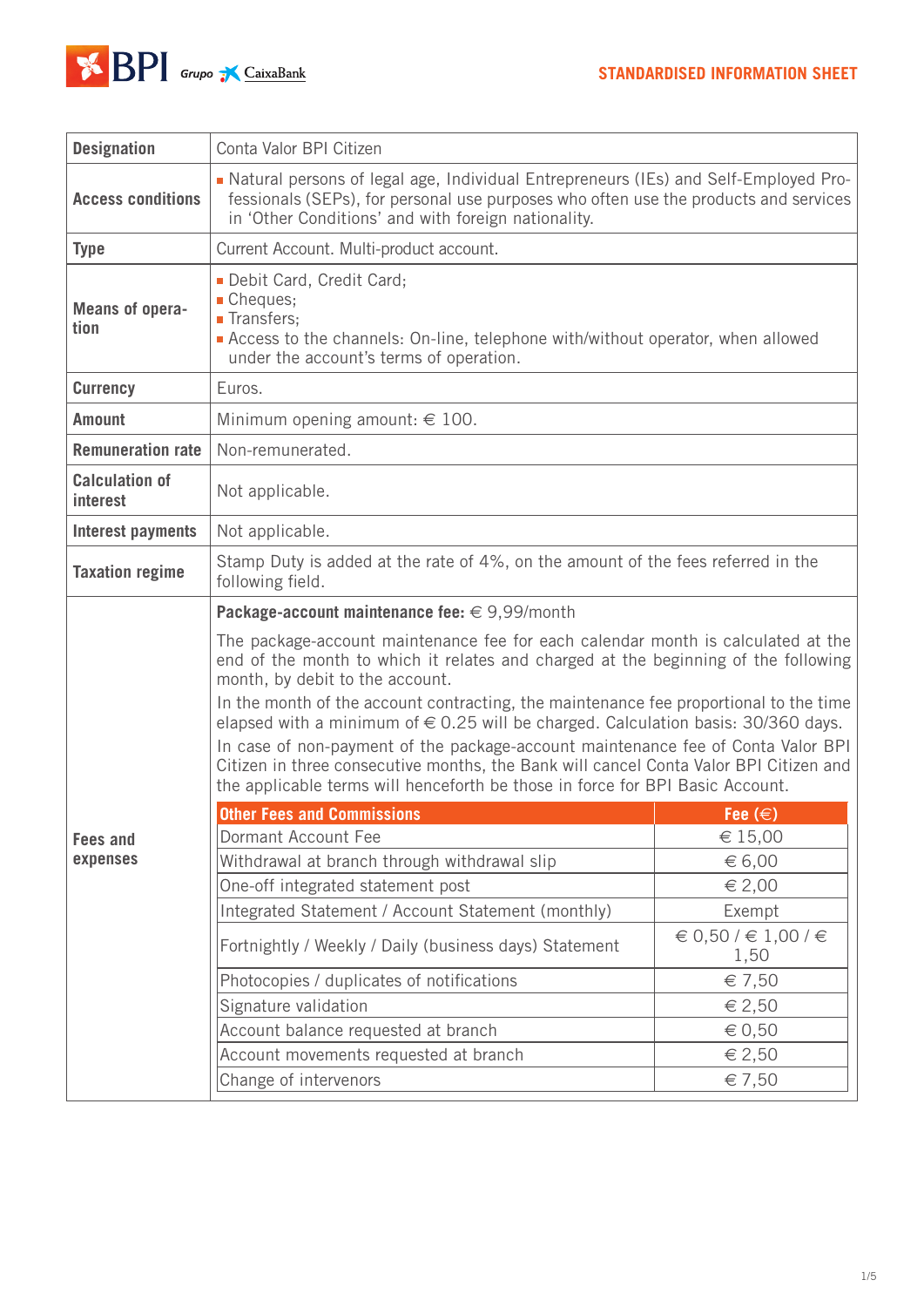

| <b>Designation</b>                       | Conta Valor BPI Citizen                                                                                                                                                                                                                                                                                                                                                                                                                                                                                                                                                                                                                                                                                           |                             |  |
|------------------------------------------|-------------------------------------------------------------------------------------------------------------------------------------------------------------------------------------------------------------------------------------------------------------------------------------------------------------------------------------------------------------------------------------------------------------------------------------------------------------------------------------------------------------------------------------------------------------------------------------------------------------------------------------------------------------------------------------------------------------------|-----------------------------|--|
| <b>Access conditions</b>                 | -Natural persons of legal age, Individual Entrepreneurs (IEs) and Self-Employed Pro-<br>fessionals (SEPs), for personal use purposes who often use the products and services<br>in 'Other Conditions' and with foreign nationality.                                                                                                                                                                                                                                                                                                                                                                                                                                                                               |                             |  |
| <b>Type</b>                              | Current Account. Multi-product account.                                                                                                                                                                                                                                                                                                                                                                                                                                                                                                                                                                                                                                                                           |                             |  |
| <b>Means of opera-</b><br>tion           | Debit Card, Credit Card;<br>Cheques;<br><b>Transfers</b> ;<br>Access to the channels: On-line, telephone with/without operator, when allowed<br>under the account's terms of operation.                                                                                                                                                                                                                                                                                                                                                                                                                                                                                                                           |                             |  |
| <b>Currency</b>                          | Euros.                                                                                                                                                                                                                                                                                                                                                                                                                                                                                                                                                                                                                                                                                                            |                             |  |
| <b>Amount</b>                            | Minimum opening amount: $\in$ 100.                                                                                                                                                                                                                                                                                                                                                                                                                                                                                                                                                                                                                                                                                |                             |  |
| <b>Remuneration rate</b>                 | Non-remunerated.                                                                                                                                                                                                                                                                                                                                                                                                                                                                                                                                                                                                                                                                                                  |                             |  |
| <b>Calculation of</b><br><i>interest</i> | Not applicable.                                                                                                                                                                                                                                                                                                                                                                                                                                                                                                                                                                                                                                                                                                   |                             |  |
| Interest payments                        | Not applicable.                                                                                                                                                                                                                                                                                                                                                                                                                                                                                                                                                                                                                                                                                                   |                             |  |
| <b>Taxation regime</b>                   | Stamp Duty is added at the rate of 4%, on the amount of the fees referred in the<br>following field.                                                                                                                                                                                                                                                                                                                                                                                                                                                                                                                                                                                                              |                             |  |
|                                          | <b>Package-account maintenance fee:</b> $\in$ 9,99/month<br>The package-account maintenance fee for each calendar month is calculated at the<br>end of the month to which it relates and charged at the beginning of the following<br>month, by debit to the account.<br>In the month of the account contracting, the maintenance fee proportional to the time<br>elapsed with a minimum of € 0.25 will be charged. Calculation basis: 30/360 days.<br>In case of non-payment of the package-account maintenance fee of Conta Valor BPI<br>Citizen in three consecutive months, the Bank will cancel Conta Valor BPI Citizen and<br>the applicable terms will henceforth be those in force for BPI Basic Account. |                             |  |
|                                          | <b>Other Fees and Commissions</b>                                                                                                                                                                                                                                                                                                                                                                                                                                                                                                                                                                                                                                                                                 | Fee $(\in)$                 |  |
| <b>Fees and</b>                          | Dormant Account Fee                                                                                                                                                                                                                                                                                                                                                                                                                                                                                                                                                                                                                                                                                               | € 15,00                     |  |
| expenses                                 | Withdrawal at branch through withdrawal slip                                                                                                                                                                                                                                                                                                                                                                                                                                                                                                                                                                                                                                                                      | $\epsilon$ 6,00             |  |
|                                          | One-off integrated statement post                                                                                                                                                                                                                                                                                                                                                                                                                                                                                                                                                                                                                                                                                 | $\epsilon$ 2,00             |  |
|                                          | Integrated Statement / Account Statement (monthly)                                                                                                                                                                                                                                                                                                                                                                                                                                                                                                                                                                                                                                                                | Exempt                      |  |
|                                          | Fortnightly / Weekly / Daily (business days) Statement                                                                                                                                                                                                                                                                                                                                                                                                                                                                                                                                                                                                                                                            | € 0,50 / € 1,00 / €<br>1,50 |  |
|                                          | Photocopies / duplicates of notifications                                                                                                                                                                                                                                                                                                                                                                                                                                                                                                                                                                                                                                                                         | € 7,50                      |  |
|                                          | Signature validation                                                                                                                                                                                                                                                                                                                                                                                                                                                                                                                                                                                                                                                                                              | $\epsilon$ 2,50             |  |
|                                          | Account balance requested at branch                                                                                                                                                                                                                                                                                                                                                                                                                                                                                                                                                                                                                                                                               | $\epsilon$ 0,50             |  |
|                                          | Account movements requested at branch                                                                                                                                                                                                                                                                                                                                                                                                                                                                                                                                                                                                                                                                             | € 2,50                      |  |
|                                          | Change of intervenors                                                                                                                                                                                                                                                                                                                                                                                                                                                                                                                                                                                                                                                                                             | $\epsilon$ 7,50             |  |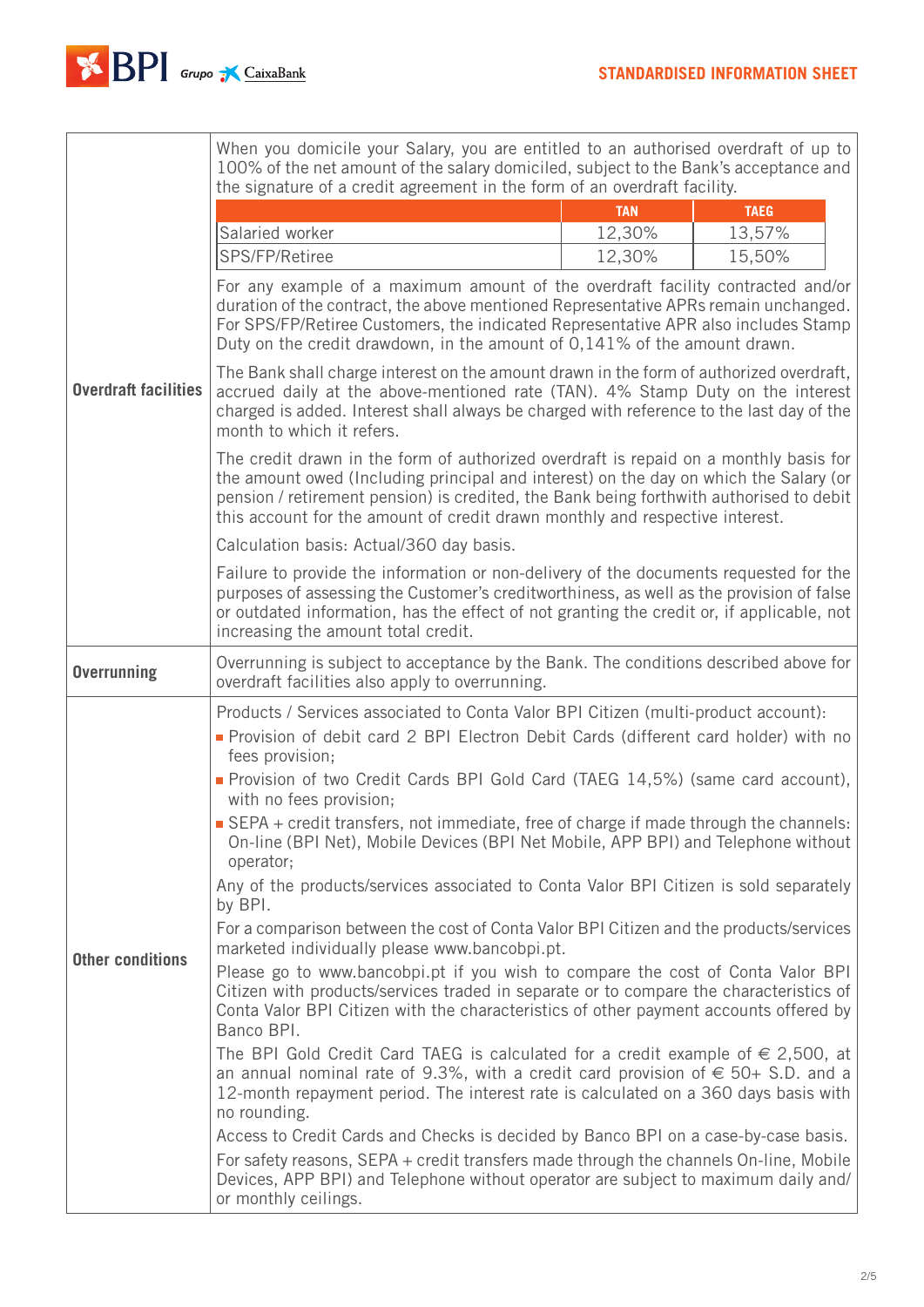

r

|                             | When you domicile your Salary, you are entitled to an authorised overdraft of up to<br>100% of the net amount of the salary domiciled, subject to the Bank's acceptance and                                                                                                                                                                               |                      |                       |  |
|-----------------------------|-----------------------------------------------------------------------------------------------------------------------------------------------------------------------------------------------------------------------------------------------------------------------------------------------------------------------------------------------------------|----------------------|-----------------------|--|
| <b>Overdraft facilities</b> | the signature of a credit agreement in the form of an overdraft facility.                                                                                                                                                                                                                                                                                 |                      |                       |  |
|                             | Salaried worker                                                                                                                                                                                                                                                                                                                                           | <b>TAN</b><br>12,30% | <b>TAEG</b><br>13,57% |  |
|                             | SPS/FP/Retiree                                                                                                                                                                                                                                                                                                                                            | 12,30%               | 15,50%                |  |
|                             | For any example of a maximum amount of the overdraft facility contracted and/or<br>duration of the contract, the above mentioned Representative APRs remain unchanged.<br>For SPS/FP/Retiree Customers, the indicated Representative APR also includes Stamp<br>Duty on the credit drawdown, in the amount of 0,141% of the amount drawn.                 |                      |                       |  |
|                             | The Bank shall charge interest on the amount drawn in the form of authorized overdraft,<br>accrued daily at the above-mentioned rate (TAN). 4% Stamp Duty on the interest<br>charged is added. Interest shall always be charged with reference to the last day of the<br>month to which it refers.                                                        |                      |                       |  |
|                             | The credit drawn in the form of authorized overdraft is repaid on a monthly basis for<br>the amount owed (Including principal and interest) on the day on which the Salary (or<br>pension / retirement pension) is credited, the Bank being forthwith authorised to debit<br>this account for the amount of credit drawn monthly and respective interest. |                      |                       |  |
|                             | Calculation basis: Actual/360 day basis.                                                                                                                                                                                                                                                                                                                  |                      |                       |  |
|                             | Failure to provide the information or non-delivery of the documents requested for the<br>purposes of assessing the Customer's creditworthiness, as well as the provision of false<br>or outdated information, has the effect of not granting the credit or, if applicable, not<br>increasing the amount total credit.                                     |                      |                       |  |
| <b>Overrunning</b>          | Overrunning is subject to acceptance by the Bank. The conditions described above for<br>overdraft facilities also apply to overrunning.                                                                                                                                                                                                                   |                      |                       |  |
|                             | Products / Services associated to Conta Valor BPI Citizen (multi-product account):                                                                                                                                                                                                                                                                        |                      |                       |  |
| <b>Other conditions</b>     | Provision of debit card 2 BPI Electron Debit Cards (different card holder) with no<br>fees provision;                                                                                                                                                                                                                                                     |                      |                       |  |
|                             | Provision of two Credit Cards BPI Gold Card (TAEG 14,5%) (same card account),<br>with no fees provision;                                                                                                                                                                                                                                                  |                      |                       |  |
|                             | SEPA + credit transfers, not immediate, free of charge if made through the channels:<br>On-line (BPI Net), Mobile Devices (BPI Net Mobile, APP BPI) and Telephone without<br>operator;                                                                                                                                                                    |                      |                       |  |
|                             | Any of the products/services associated to Conta Valor BPI Citizen is sold separately<br>by BPI.                                                                                                                                                                                                                                                          |                      |                       |  |
|                             | For a comparison between the cost of Conta Valor BPI Citizen and the products/services<br>marketed individually please www.bancobpi.pt.                                                                                                                                                                                                                   |                      |                       |  |
|                             | Please go to www.bancobpi.pt if you wish to compare the cost of Conta Valor BPI<br>Citizen with products/services traded in separate or to compare the characteristics of<br>Conta Valor BPI Citizen with the characteristics of other payment accounts offered by<br>Banco BPI.                                                                          |                      |                       |  |
|                             | The BPI Gold Credit Card TAEG is calculated for a credit example of $\in$ 2,500, at<br>an annual nominal rate of 9.3%, with a credit card provision of $\in$ 50+ S.D. and a<br>12-month repayment period. The interest rate is calculated on a 360 days basis with<br>no rounding.                                                                        |                      |                       |  |
|                             | Access to Credit Cards and Checks is decided by Banco BPI on a case-by-case basis.<br>For safety reasons, SEPA + credit transfers made through the channels On-line, Mobile<br>Devices, APP BPI) and Telephone without operator are subject to maximum daily and/<br>or monthly ceilings.                                                                 |                      |                       |  |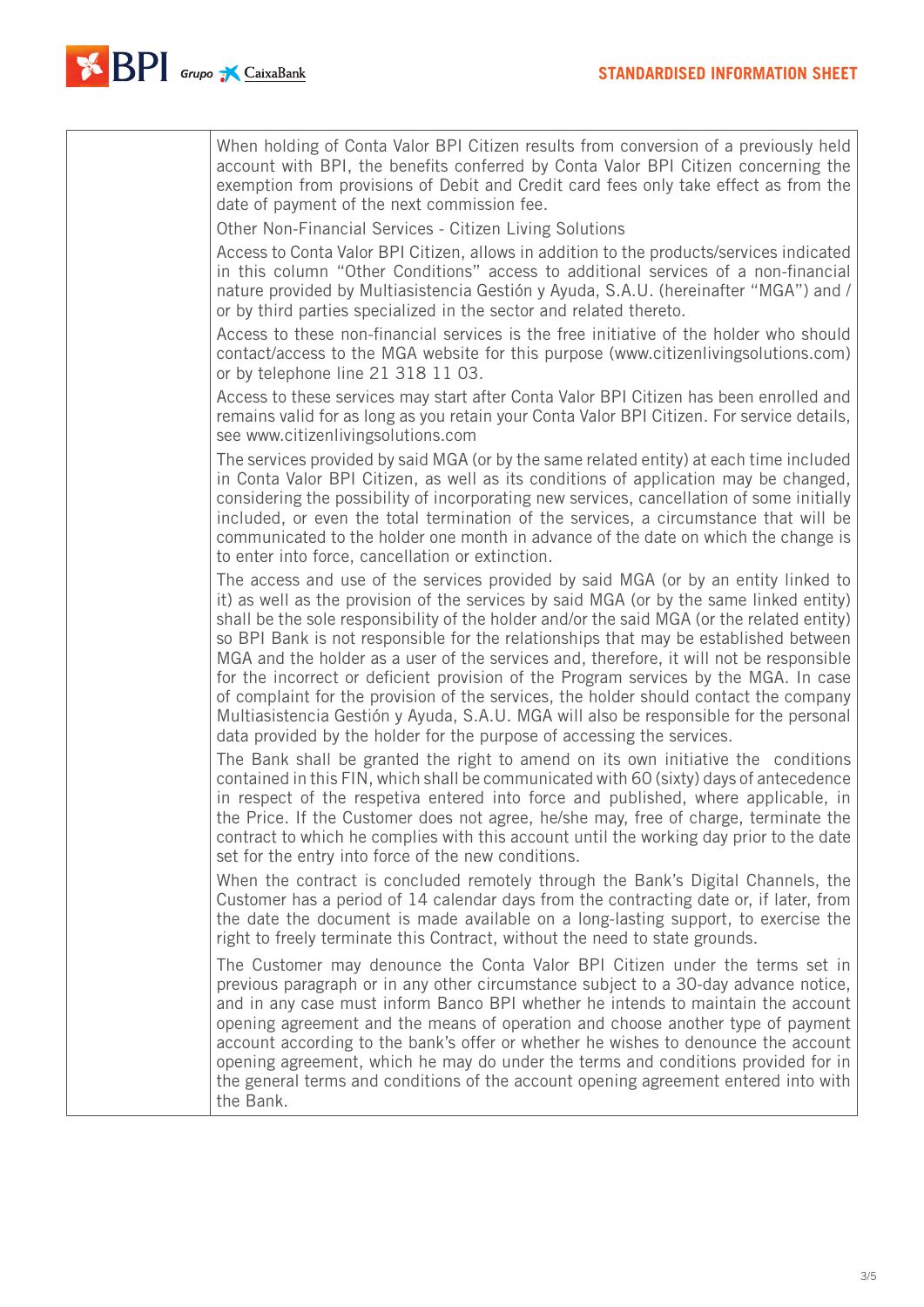

| When holding of Conta Valor BPI Citizen results from conversion of a previously held<br>account with BPI, the benefits conferred by Conta Valor BPI Citizen concerning the<br>exemption from provisions of Debit and Credit card fees only take effect as from the<br>date of payment of the next commission fee.                                                                                                                                                                                                                                                                                                                                                                                                                                                                                                  |
|--------------------------------------------------------------------------------------------------------------------------------------------------------------------------------------------------------------------------------------------------------------------------------------------------------------------------------------------------------------------------------------------------------------------------------------------------------------------------------------------------------------------------------------------------------------------------------------------------------------------------------------------------------------------------------------------------------------------------------------------------------------------------------------------------------------------|
| Other Non-Financial Services - Citizen Living Solutions<br>Access to Conta Valor BPI Citizen, allows in addition to the products/services indicated<br>in this column "Other Conditions" access to additional services of a non-financial<br>nature provided by Multiasistencia Gestión y Ayuda, S.A.U. (hereinafter "MGA") and /<br>or by third parties specialized in the sector and related thereto.                                                                                                                                                                                                                                                                                                                                                                                                            |
| Access to these non-financial services is the free initiative of the holder who should<br>contact/access to the MGA website for this purpose (www.citizenlivingsolutions.com)<br>or by telephone line 21 318 11 03.                                                                                                                                                                                                                                                                                                                                                                                                                                                                                                                                                                                                |
| Access to these services may start after Conta Valor BPI Citizen has been enrolled and<br>remains valid for as long as you retain your Conta Valor BPI Citizen. For service details,<br>see www.citizenlivingsolutions.com                                                                                                                                                                                                                                                                                                                                                                                                                                                                                                                                                                                         |
| The services provided by said MGA (or by the same related entity) at each time included<br>in Conta Valor BPI Citizen, as well as its conditions of application may be changed,<br>considering the possibility of incorporating new services, cancellation of some initially<br>included, or even the total termination of the services, a circumstance that will be<br>communicated to the holder one month in advance of the date on which the change is<br>to enter into force, cancellation or extinction.                                                                                                                                                                                                                                                                                                     |
| The access and use of the services provided by said MGA (or by an entity linked to<br>it) as well as the provision of the services by said MGA (or by the same linked entity)<br>shall be the sole responsibility of the holder and/or the said MGA (or the related entity)<br>so BPI Bank is not responsible for the relationships that may be established between<br>MGA and the holder as a user of the services and, therefore, it will not be responsible<br>for the incorrect or deficient provision of the Program services by the MGA. In case<br>of complaint for the provision of the services, the holder should contact the company<br>Multiasistencia Gestión y Ayuda, S.A.U. MGA will also be responsible for the personal<br>data provided by the holder for the purpose of accessing the services. |
| The Bank shall be granted the right to amend on its own initiative the conditions<br>contained in this FIN, which shall be communicated with 60 (sixty) days of antecedence<br>in respect of the respetiva entered into force and published, where applicable, in<br>the Price. If the Customer does not agree, he/she may, free of charge, terminate the<br>contract to which he complies with this account until the working day prior to the date<br>set for the entry into force of the new conditions.                                                                                                                                                                                                                                                                                                        |
| When the contract is concluded remotely through the Bank's Digital Channels, the<br>Customer has a period of 14 calendar days from the contracting date or, if later, from<br>the date the document is made available on a long-lasting support, to exercise the<br>right to freely terminate this Contract, without the need to state grounds.                                                                                                                                                                                                                                                                                                                                                                                                                                                                    |
| The Customer may denounce the Conta Valor BPI Citizen under the terms set in<br>previous paragraph or in any other circumstance subject to a 30-day advance notice,<br>and in any case must inform Banco BPI whether he intends to maintain the account<br>opening agreement and the means of operation and choose another type of payment<br>account according to the bank's offer or whether he wishes to denounce the account<br>opening agreement, which he may do under the terms and conditions provided for in<br>the general terms and conditions of the account opening agreement entered into with<br>the Bank.                                                                                                                                                                                          |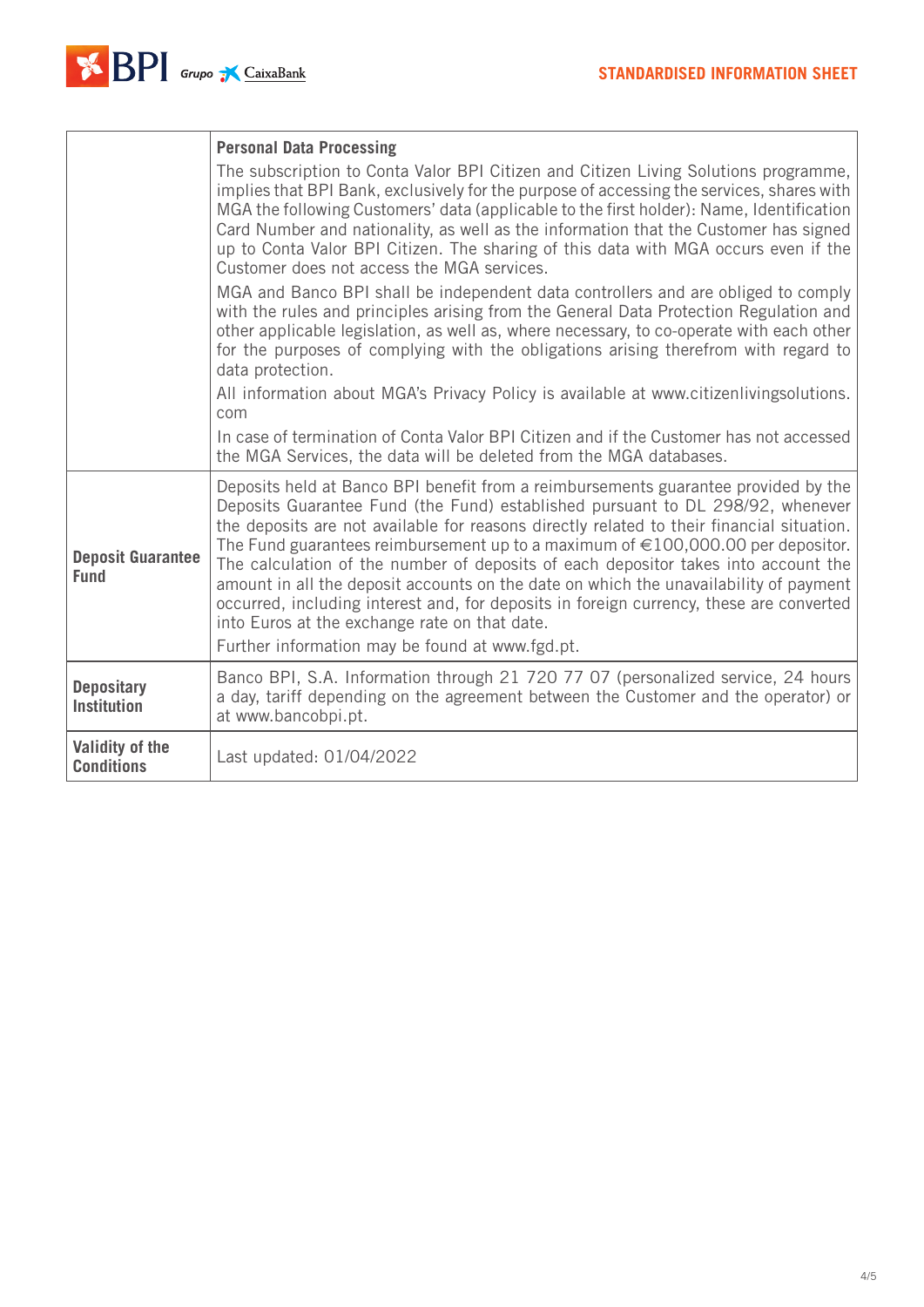|                                         | <b>Personal Data Processing</b>                                                                                                                                                                                                                                                                                                                                                                                                                                                                                                                                                                                                                                                                                                         |  |
|-----------------------------------------|-----------------------------------------------------------------------------------------------------------------------------------------------------------------------------------------------------------------------------------------------------------------------------------------------------------------------------------------------------------------------------------------------------------------------------------------------------------------------------------------------------------------------------------------------------------------------------------------------------------------------------------------------------------------------------------------------------------------------------------------|--|
|                                         | The subscription to Conta Valor BPI Citizen and Citizen Living Solutions programme,<br>implies that BPI Bank, exclusively for the purpose of accessing the services, shares with<br>MGA the following Customers' data (applicable to the first holder): Name, Identification<br>Card Number and nationality, as well as the information that the Customer has signed<br>up to Conta Valor BPI Citizen. The sharing of this data with MGA occurs even if the<br>Customer does not access the MGA services.                                                                                                                                                                                                                               |  |
|                                         | MGA and Banco BPI shall be independent data controllers and are obliged to comply<br>with the rules and principles arising from the General Data Protection Regulation and<br>other applicable legislation, as well as, where necessary, to co-operate with each other<br>for the purposes of complying with the obligations arising therefrom with regard to<br>data protection.                                                                                                                                                                                                                                                                                                                                                       |  |
|                                         | All information about MGA's Privacy Policy is available at www.citizenlivingsolutions.<br>com                                                                                                                                                                                                                                                                                                                                                                                                                                                                                                                                                                                                                                           |  |
|                                         | In case of termination of Conta Valor BPI Citizen and if the Customer has not accessed<br>the MGA Services, the data will be deleted from the MGA databases.                                                                                                                                                                                                                                                                                                                                                                                                                                                                                                                                                                            |  |
| <b>Deposit Guarantee</b><br><b>Fund</b> | Deposits held at Banco BPI benefit from a reimbursements guarantee provided by the<br>Deposits Guarantee Fund (the Fund) established pursuant to DL 298/92, whenever<br>the deposits are not available for reasons directly related to their financial situation.<br>The Fund guarantees reimbursement up to a maximum of $\in$ 100,000.00 per depositor.<br>The calculation of the number of deposits of each depositor takes into account the<br>amount in all the deposit accounts on the date on which the unavailability of payment<br>occurred, including interest and, for deposits in foreign currency, these are converted<br>into Euros at the exchange rate on that date.<br>Further information may be found at www.fgd.pt. |  |
| <b>Depositary</b><br><b>Institution</b> | Banco BPI, S.A. Information through 21 720 77 07 (personalized service, 24 hours<br>a day, tariff depending on the agreement between the Customer and the operator) or<br>at www.bancobpi.pt.                                                                                                                                                                                                                                                                                                                                                                                                                                                                                                                                           |  |
| Validity of the<br><b>Conditions</b>    | Last updated: 01/04/2022                                                                                                                                                                                                                                                                                                                                                                                                                                                                                                                                                                                                                                                                                                                |  |